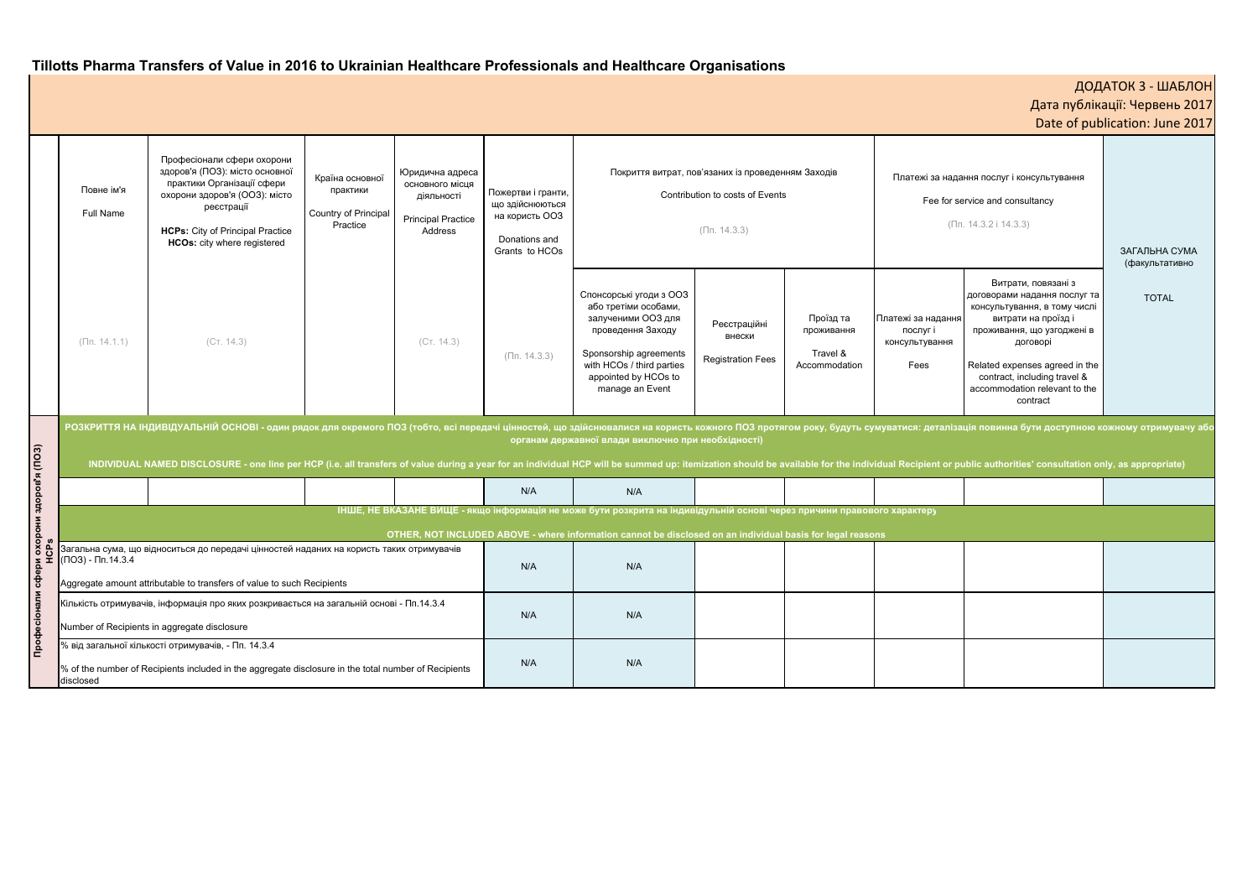# **Tillotts Pharma Transfers of Value in 2016 to Ukrainian Healthcare Professionals and Healthcare Organisations**

|                              | Повне ім'я<br>Full Name                                                                                                                                                                                                                                                                                                                                                                                                                                                                                                | Професіонали сфери охорони<br>здоров'я (ПОЗ): місто основної<br>практики Організації сфери<br>охорони здоров'я (ООЗ): місто<br>реєстрації<br><b>HCPs:</b> City of Principal Practice<br><b>HCOs:</b> city where registered | Країна основної<br>практики<br>Country of Principal<br>Practice | Юридична адреса<br>основного місця<br>діяльності<br><b>Principal Practice</b><br>Address | Пожертви і гранти,<br>що здійснюються<br>на користь ООЗ<br>Donations and<br>Grants to HCOs | Покриття витрат, пов'язаних із проведенням Заходів<br>Contribution to costs of Events<br>$(\Pi n. 14.3.3)$                                                                                   |                                                    |                                                      | Платежі за надання послуг і консультування<br>Fee for service and consultancy<br>$(\Pi n. 14.3.2 i 14.3.3)$ |                                                                                                                                                                                                                                                                    | ЗАГАЛЬНА СУМА<br>(факультативно |
|------------------------------|------------------------------------------------------------------------------------------------------------------------------------------------------------------------------------------------------------------------------------------------------------------------------------------------------------------------------------------------------------------------------------------------------------------------------------------------------------------------------------------------------------------------|----------------------------------------------------------------------------------------------------------------------------------------------------------------------------------------------------------------------------|-----------------------------------------------------------------|------------------------------------------------------------------------------------------|--------------------------------------------------------------------------------------------|----------------------------------------------------------------------------------------------------------------------------------------------------------------------------------------------|----------------------------------------------------|------------------------------------------------------|-------------------------------------------------------------------------------------------------------------|--------------------------------------------------------------------------------------------------------------------------------------------------------------------------------------------------------------------------------------------------------------------|---------------------------------|
|                              | $(\Pi$ n. 14.1.1)                                                                                                                                                                                                                                                                                                                                                                                                                                                                                                      | (CT. 14.3)                                                                                                                                                                                                                 |                                                                 | (CT. 14.3)                                                                               | $(\Pi n. 14.3.3)$                                                                          | Спонсорські угоди з ООЗ<br>або третіми особами,<br>залученими ООЗ для<br>проведення Заходу<br>Sponsorship agreements<br>with HCOs / third parties<br>appointed by HCOs to<br>manage an Event | Реєстраційні<br>внески<br><b>Registration Fees</b> | Проїзд та<br>проживання<br>Travel &<br>Accommodation | Платежі за надання<br>послуг і<br>консультування<br>Fees                                                    | Витрати, повязані з<br>договорами надання послуг та<br>консультування, в тому числі<br>витрати на проїзді<br>проживання, що узгоджені в<br>договорі<br>Related expenses agreed in the<br>contract, including travel &<br>accommodation relevant to the<br>contract | <b>TOTAL</b>                    |
| срз<br>Сарани здоров'я (ПОЗ) | РОЗКРИТТЯ НА ІНДИВІДУАЛЬНІЙ ОСНОВІ - один рядок для окремого ПОЗ (тобто, всі передачі цінностей, що здійснювалися на користь кожного ПОЗ протягом року, будуть сумуватися: деталізація повинна бути доступною кожному отримува<br>органам державної влади виключно при необхідності)<br>INDIVIDUAL NAMED DISCLOSURE - one line per HCP (i.e. all transfers of value during a year for an individual HCP will be summed up: itemization should be available for the individual Recipient or public authorities' consult |                                                                                                                                                                                                                            |                                                                 |                                                                                          |                                                                                            |                                                                                                                                                                                              |                                                    |                                                      |                                                                                                             |                                                                                                                                                                                                                                                                    |                                 |
|                              |                                                                                                                                                                                                                                                                                                                                                                                                                                                                                                                        |                                                                                                                                                                                                                            |                                                                 |                                                                                          | N/A                                                                                        | N/A                                                                                                                                                                                          |                                                    |                                                      |                                                                                                             |                                                                                                                                                                                                                                                                    |                                 |
|                              | ІНШЕ, НЕ ВКАЗАНЕ ВИЩЕ - якщо інформація не може бути розкрита на індивідульній основі через причини правового характеру                                                                                                                                                                                                                                                                                                                                                                                                |                                                                                                                                                                                                                            |                                                                 |                                                                                          |                                                                                            |                                                                                                                                                                                              |                                                    |                                                      |                                                                                                             |                                                                                                                                                                                                                                                                    |                                 |
|                              | OTHER, NOT INCLUDED ABOVE - where information cannot be disclosed on an individual basis for legal reasons                                                                                                                                                                                                                                                                                                                                                                                                             |                                                                                                                                                                                                                            |                                                                 |                                                                                          |                                                                                            |                                                                                                                                                                                              |                                                    |                                                      |                                                                                                             |                                                                                                                                                                                                                                                                    |                                 |
|                              | Загальна сума, що відноситься до передачі цінностей наданих на користь таких отримувачів<br>$(103) - 11.14.3.4$<br>Aggregate amount attributable to transfers of value to such Recipients                                                                                                                                                                                                                                                                                                                              |                                                                                                                                                                                                                            |                                                                 |                                                                                          | N/A                                                                                        | N/A                                                                                                                                                                                          |                                                    |                                                      |                                                                                                             |                                                                                                                                                                                                                                                                    |                                 |
| Професіонали сфери<br>Н      | Кількість отримувачів, інформація про яких розкривається на загальній основі - Пп.14.3.4<br>Number of Recipients in aggregate disclosure                                                                                                                                                                                                                                                                                                                                                                               |                                                                                                                                                                                                                            |                                                                 |                                                                                          | N/A                                                                                        | N/A                                                                                                                                                                                          |                                                    |                                                      |                                                                                                             |                                                                                                                                                                                                                                                                    |                                 |
|                              | % від загальної кількості отримувачів, - Пп. 14.3.4<br>% of the number of Recipients included in the aggregate disclosure in the total number of Recipients<br>disclosed                                                                                                                                                                                                                                                                                                                                               |                                                                                                                                                                                                                            |                                                                 |                                                                                          | N/A                                                                                        | N/A                                                                                                                                                                                          |                                                    |                                                      |                                                                                                             |                                                                                                                                                                                                                                                                    |                                 |

| ДОДАТОК 3 - ШАБЛОН<br>Дата публікації: Червень 2017<br>Date of publication: June 2017 |                                                                                                                                                                                        |                                 |  |  |  |  |  |  |  |
|---------------------------------------------------------------------------------------|----------------------------------------------------------------------------------------------------------------------------------------------------------------------------------------|---------------------------------|--|--|--|--|--|--|--|
|                                                                                       |                                                                                                                                                                                        |                                 |  |  |  |  |  |  |  |
|                                                                                       | кі за надання послуг і консультування                                                                                                                                                  |                                 |  |  |  |  |  |  |  |
|                                                                                       | Fee for service and consultancy                                                                                                                                                        |                                 |  |  |  |  |  |  |  |
|                                                                                       | (Пп. 14.3.2 і 14.3.3)                                                                                                                                                                  |                                 |  |  |  |  |  |  |  |
|                                                                                       |                                                                                                                                                                                        | ЗАГАЛЬНА СУМА<br>(факультативно |  |  |  |  |  |  |  |
| надання<br>уг і<br>ування<br>s                                                        | Витрати, повязані з<br>договорами надання послуг та<br>консультування, в тому числі<br>витрати на проїзд і<br>проживання, що узгоджені в<br>договорі<br>Related expenses agreed in the | <b>TOTAL</b>                    |  |  |  |  |  |  |  |
|                                                                                       | contract, including travel &<br>accommodation relevant to the<br>contract                                                                                                              |                                 |  |  |  |  |  |  |  |
| деталізація повинна бути доступною кожному отримувачу або                             |                                                                                                                                                                                        |                                 |  |  |  |  |  |  |  |
|                                                                                       | ient or public authorities' consultation only, as appropriate)                                                                                                                         |                                 |  |  |  |  |  |  |  |
|                                                                                       |                                                                                                                                                                                        |                                 |  |  |  |  |  |  |  |
| эру                                                                                   |                                                                                                                                                                                        |                                 |  |  |  |  |  |  |  |
|                                                                                       |                                                                                                                                                                                        |                                 |  |  |  |  |  |  |  |
|                                                                                       |                                                                                                                                                                                        |                                 |  |  |  |  |  |  |  |
|                                                                                       |                                                                                                                                                                                        |                                 |  |  |  |  |  |  |  |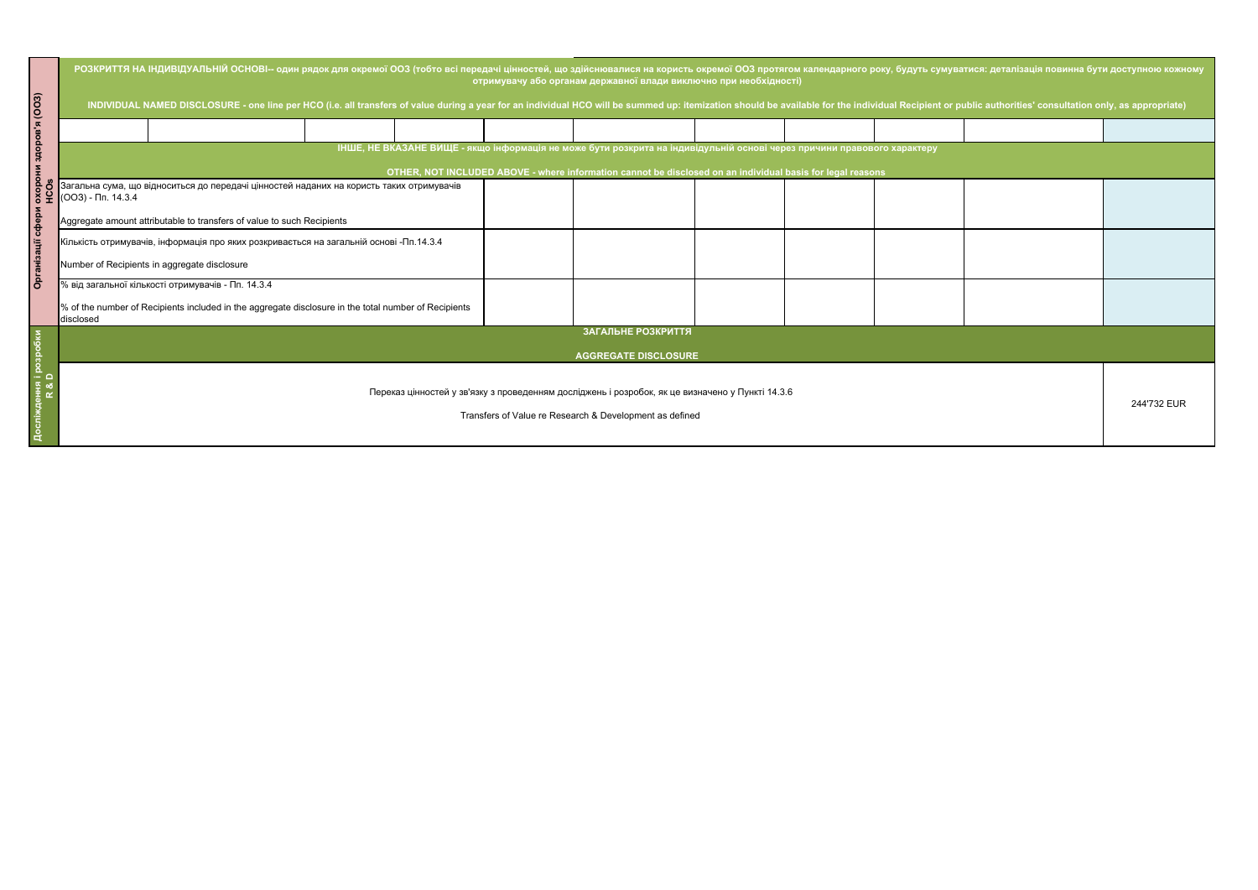| уватися: деталізація повинна бути доступною кожному      |  |             |  |  |  |  |  |
|----------------------------------------------------------|--|-------------|--|--|--|--|--|
| r public authorities' consultation only, as appropriate) |  |             |  |  |  |  |  |
|                                                          |  |             |  |  |  |  |  |
|                                                          |  |             |  |  |  |  |  |
|                                                          |  |             |  |  |  |  |  |
|                                                          |  |             |  |  |  |  |  |
|                                                          |  |             |  |  |  |  |  |
|                                                          |  |             |  |  |  |  |  |
|                                                          |  | 244'732 EUR |  |  |  |  |  |

| (003)               | РОЗКРИТТЯ НА ІНДИВІДУАЛЬНІЙ ОСНОВІ-- один рядок для окремої ООЗ (тобто всі передачі цінностей, що здійснювалися на користь окремої ООЗ протягом календарного року, будуть сумуватися: деталізація повинна бути доступною кожно<br>отримувачу або органам державної влади виключно при необхідності)<br>INDIVIDUAL NAMED DISCLOSURE - one line per HCO (i.e. all transfers of value during a year for an individual HCO will be summed up: itemization should be available for the individual Recipient or public authorities' consult |                                                                                                      |  |  |  |  |  |  |  |  |             |
|---------------------|---------------------------------------------------------------------------------------------------------------------------------------------------------------------------------------------------------------------------------------------------------------------------------------------------------------------------------------------------------------------------------------------------------------------------------------------------------------------------------------------------------------------------------------|------------------------------------------------------------------------------------------------------|--|--|--|--|--|--|--|--|-------------|
|                     |                                                                                                                                                                                                                                                                                                                                                                                                                                                                                                                                       |                                                                                                      |  |  |  |  |  |  |  |  |             |
| <b>odotrs</b>       | ІНШЕ, НЕ ВКАЗАНЕ ВИЩЕ - якщо інформація не може бути розкрита на індивідульній основі через причини правового характеру<br>OTHER, NOT INCLUDED ABOVE - where information cannot be disclosed on an individual basis for legal reasons                                                                                                                                                                                                                                                                                                 |                                                                                                      |  |  |  |  |  |  |  |  |             |
| <b>SOON</b><br>HCOS | Загальна сума, що відноситься до передачі цінностей наданих на користь таких отримувачів<br>$(OO3)$ - $\Pi$ n. 14.3.4                                                                                                                                                                                                                                                                                                                                                                                                                 |                                                                                                      |  |  |  |  |  |  |  |  |             |
| rdebr               | Aggregate amount attributable to transfers of value to such Recipients                                                                                                                                                                                                                                                                                                                                                                                                                                                                |                                                                                                      |  |  |  |  |  |  |  |  |             |
|                     | Кількість отримувачів, інформація про яких розкривається на загальній основі -Пп.14.3.4                                                                                                                                                                                                                                                                                                                                                                                                                                               |                                                                                                      |  |  |  |  |  |  |  |  |             |
|                     | Number of Recipients in aggregate disclosure                                                                                                                                                                                                                                                                                                                                                                                                                                                                                          |                                                                                                      |  |  |  |  |  |  |  |  |             |
| ە<br>6              |                                                                                                                                                                                                                                                                                                                                                                                                                                                                                                                                       | % від загальної кількості отримувачів - Пп. 14.3.4                                                   |  |  |  |  |  |  |  |  |             |
|                     | disclosed                                                                                                                                                                                                                                                                                                                                                                                                                                                                                                                             | % of the number of Recipients included in the aggregate disclosure in the total number of Recipients |  |  |  |  |  |  |  |  |             |
|                     | ЗАГАЛЬНЕ РОЗКРИТТЯ                                                                                                                                                                                                                                                                                                                                                                                                                                                                                                                    |                                                                                                      |  |  |  |  |  |  |  |  |             |
|                     | <b>AGGREGATE DISCLOSURE</b>                                                                                                                                                                                                                                                                                                                                                                                                                                                                                                           |                                                                                                      |  |  |  |  |  |  |  |  |             |
|                     | Переказ цінностей у зв'язку з проведенням досліджень і розробок, як це визначено у Пункті 14.3.6<br>Transfers of Value re Research & Development as defined                                                                                                                                                                                                                                                                                                                                                                           |                                                                                                      |  |  |  |  |  |  |  |  | 244'732 EUR |
|                     |                                                                                                                                                                                                                                                                                                                                                                                                                                                                                                                                       |                                                                                                      |  |  |  |  |  |  |  |  |             |